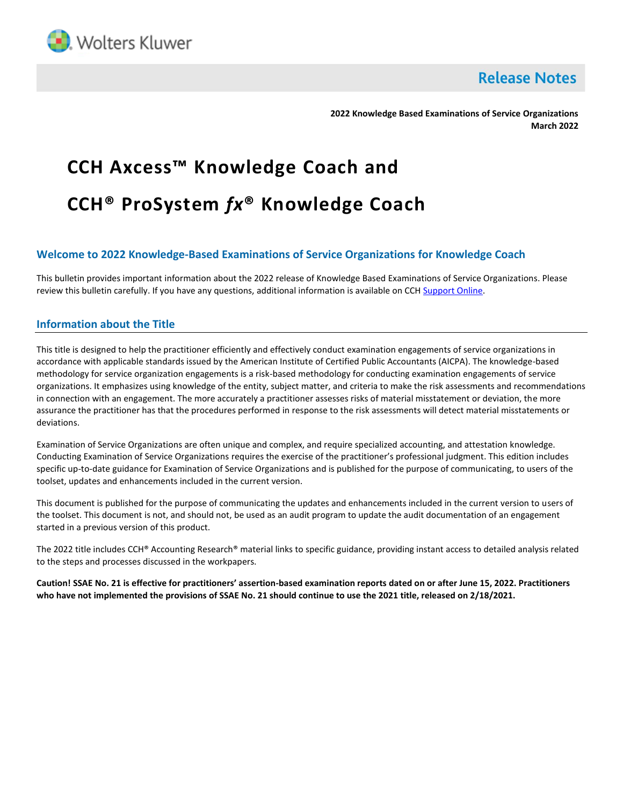

**Release Notes** 

**2022 Knowledge Based Examinations of Service Organizations March 2022**

# **CCH Axcess™ Knowledge Coach and CCH® ProSystem** *fx***® Knowledge Coach**

# **Welcome to 2022 Knowledge-Based Examinations of Service Organizations for Knowledge Coach**

This bulletin provides important information about the 2022 release of Knowledge Based Examinations of Service Organizations. Please review this bulletin carefully. If you have any questions, additional information is available on CCH [Support Online.](http://support.cch.com/productsupport/)

## **Information about the Title**

This title is designed to help the practitioner efficiently and effectively conduct examination engagements of service organizations in accordance with applicable standards issued by the American Institute of Certified Public Accountants (AICPA). The knowledge-based methodology for service organization engagements is a risk-based methodology for conducting examination engagements of service organizations. It emphasizes using knowledge of the entity, subject matter, and criteria to make the risk assessments and recommendations in connection with an engagement. The more accurately a practitioner assesses risks of material misstatement or deviation, the more assurance the practitioner has that the procedures performed in response to the risk assessments will detect material misstatements or deviations.

Examination of Service Organizations are often unique and complex, and require specialized accounting, and attestation knowledge. Conducting Examination of Service Organizations requires the exercise of the practitioner's professional judgment. This edition includes specific up-to-date guidance for Examination of Service Organizations and is published for the purpose of communicating, to users of the toolset, updates and enhancements included in the current version.

This document is published for the purpose of communicating the updates and enhancements included in the current version to users of the toolset. This document is not, and should not, be used as an audit program to update the audit documentation of an engagement started in a previous version of this product.

The 2022 title includes CCH® Accounting Research® material links to specific guidance, providing instant access to detailed analysis related to the steps and processes discussed in the workpapers.

**Caution! SSAE No. 21 is effective for practitioners' assertion-based examination reports dated on or after June 15, 2022. Practitioners who have not implemented the provisions of SSAE No. 21 should continue to use the 2021 title, released on 2/18/2021.**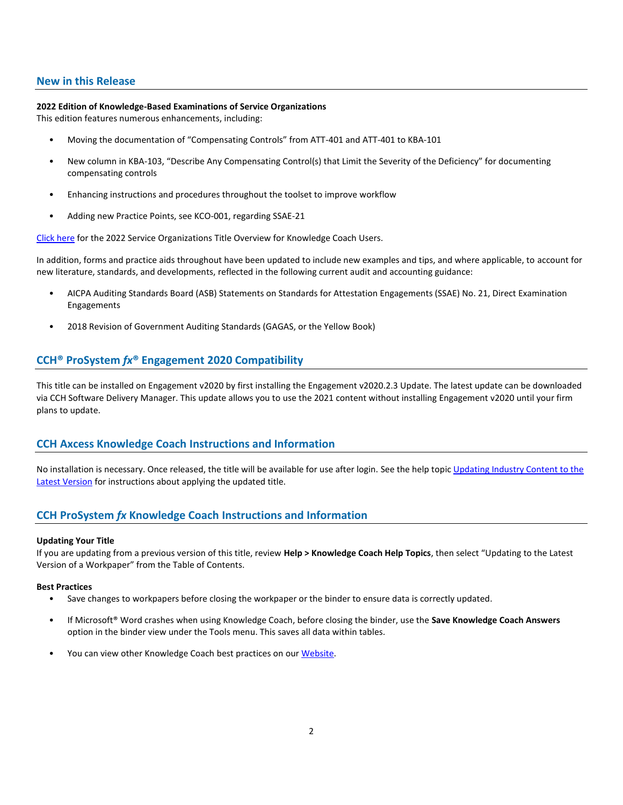## **New in this Release**

## **2022 Edition of Knowledge-Based Examinations of Service Organizations**

This edition features numerous enhancements, including:

- Moving the documentation of "Compensating Controls" from ATT-401 and ATT-401 to KBA-101
- New column in KBA-103, "Describe Any Compensating Control(s) that Limit the Severity of the Deficiency" for documenting compensating controls
- Enhancing instructions and procedures throughout the toolset to improve workflow
- Adding new Practice Points, see KCO-001, regarding SSAE-21

[Click here](http://d2iceilwdglxpz.cloudfront.net/KC/Overviews/2022%20Service%20Organizations%20Title%20Overview%20for%20Knowledge%20Coach%20Users.pdf) for the 2022 Service Organizations Title Overview for Knowledge Coach Users.

In addition, forms and practice aids throughout have been updated to include new examples and tips, and where applicable, to account for new literature, standards, and developments, reflected in the following current audit and accounting guidance:

- AICPA Auditing Standards Board (ASB) Statements on Standards for Attestation Engagements (SSAE) No. 21, Direct Examination Engagements
- 2018 Revision of Government Auditing Standards (GAGAS, or the Yellow Book)

## **CCH® ProSystem** *fx***® Engagement 2020 Compatibility**

This title can be installed on Engagement v2020 by first installing the Engagement v2020.2.3 Update. The latest update can be downloaded via CCH Software Delivery Manager. This update allows you to use the 2021 content without installing Engagement v2020 until your firm plans to update.

## **CCH Axcess Knowledge Coach Instructions and Information**

No installation is necessary. Once released, the title will be available for use after login. See the help topic Updating Industry Content to the [Latest Version](https://knowledgecoach.cchaxcess.com/Knowledge-Coach/Content/Engagements/Eng-Update-content.htm) for instructions about applying the updated title.

# **CCH ProSystem** *fx* **Knowledge Coach Instructions and Information**

#### **Updating Your Title**

If you are updating from a previous version of this title, review **Help > Knowledge Coach Help Topics**, then select "Updating to the Latest Version of a Workpaper" from the Table of Contents.

## **Best Practices**

- Save changes to workpapers before closing the workpaper or the binder to ensure data is correctly updated.
- If Microsoft® Word crashes when using Knowledge Coach, before closing the binder, use the **Save Knowledge Coach Answers** option in the binder view under the Tools menu. This saves all data within tables.
- You can view other Knowledge Coach best practices on ou[r Website.](https://support.cch.com/kb/solution/000034942/sw34947)